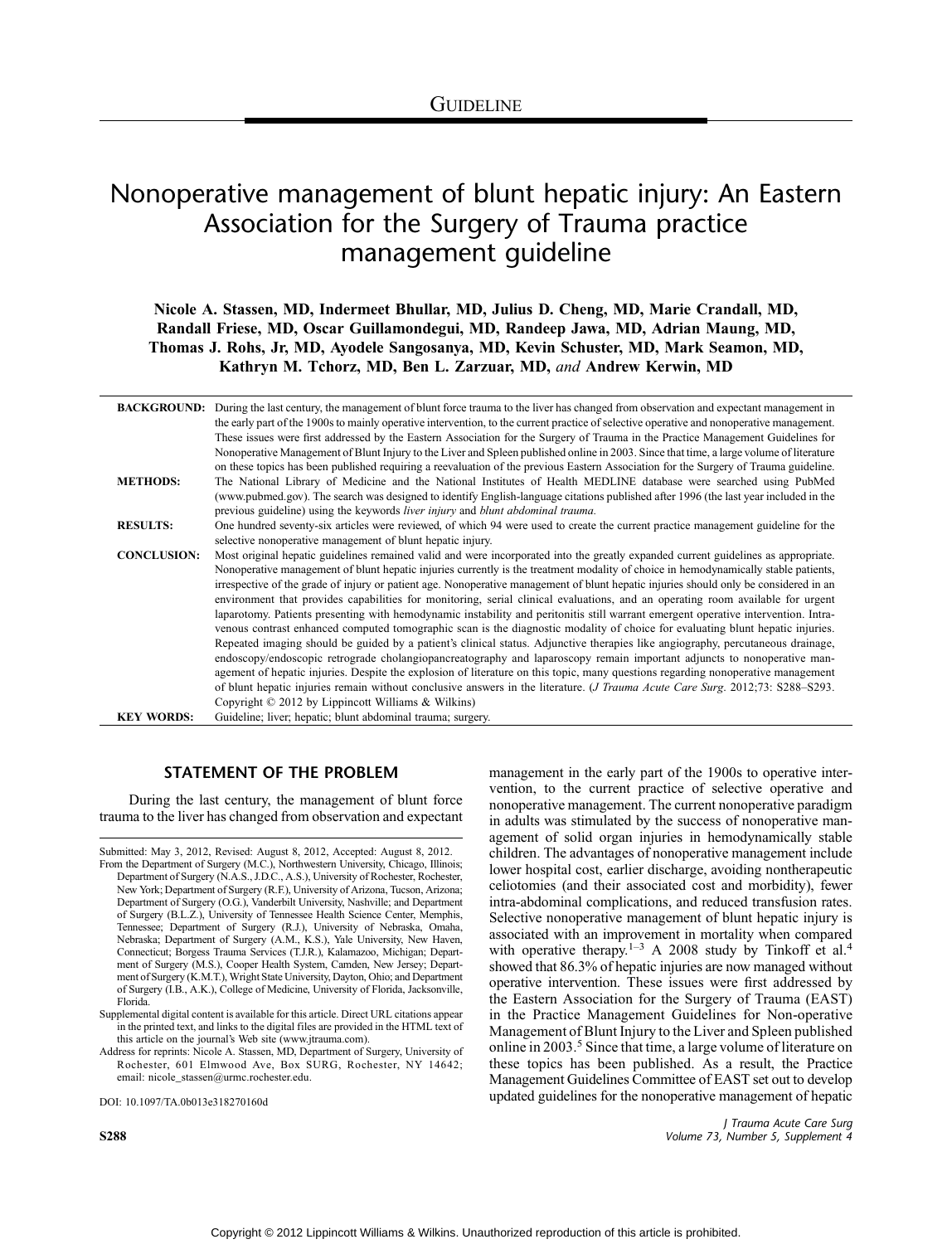# Nonoperative management of blunt hepatic injury: An Eastern Association for the Surgery of Trauma practice management guideline

Nicole A. Stassen, MD, Indermeet Bhullar, MD, Julius D. Cheng, MD, Marie Crandall, MD, Randall Friese, MD, Oscar Guillamondegui, MD, Randeep Jawa, MD, Adrian Maung, MD, Thomas J. Rohs, Jr, MD, Ayodele Sangosanya, MD, Kevin Schuster, MD, Mark Seamon, MD, Kathryn M. Tchorz, MD, Ben L. Zarzuar, MD, and Andrew Kerwin, MD

| <b>BACKGROUND:</b> | During the last century, the management of blunt force trauma to the liver has changed from observation and expectant management in<br>the early part of the 1900s to mainly operative intervention, to the current practice of selective operative and nonoperative management.<br>These issues were first addressed by the Eastern Association for the Surgery of Trauma in the Practice Management Guidelines for                                                                                                                                                                                                                                                                                                                                                                                                                                                                                                                                                                                                                                                                                                                                                                                                                                                                                                                                                                                                                |
|--------------------|-------------------------------------------------------------------------------------------------------------------------------------------------------------------------------------------------------------------------------------------------------------------------------------------------------------------------------------------------------------------------------------------------------------------------------------------------------------------------------------------------------------------------------------------------------------------------------------------------------------------------------------------------------------------------------------------------------------------------------------------------------------------------------------------------------------------------------------------------------------------------------------------------------------------------------------------------------------------------------------------------------------------------------------------------------------------------------------------------------------------------------------------------------------------------------------------------------------------------------------------------------------------------------------------------------------------------------------------------------------------------------------------------------------------------------------|
|                    | Nonoperative Management of Blunt Injury to the Liver and Spleen published online in 2003. Since that time, a large volume of literature<br>on these topics has been published requiring a reevaluation of the previous Eastern Association for the Surgery of Trauma guideline.                                                                                                                                                                                                                                                                                                                                                                                                                                                                                                                                                                                                                                                                                                                                                                                                                                                                                                                                                                                                                                                                                                                                                     |
| <b>METHODS:</b>    | The National Library of Medicine and the National Institutes of Health MEDLINE database were searched using PubMed<br>(www.pubmed.gov). The search was designed to identify English-language citations published after 1996 (the last year included in the<br>previous guideline) using the keywords <i>liver injury</i> and <i>blunt abdominal trauma</i> .                                                                                                                                                                                                                                                                                                                                                                                                                                                                                                                                                                                                                                                                                                                                                                                                                                                                                                                                                                                                                                                                        |
| <b>RESULTS:</b>    | One hundred seventy-six articles were reviewed, of which 94 were used to create the current practice management guideline for the<br>selective nonoperative management of blunt hepatic injury.                                                                                                                                                                                                                                                                                                                                                                                                                                                                                                                                                                                                                                                                                                                                                                                                                                                                                                                                                                                                                                                                                                                                                                                                                                     |
| <b>CONCLUSION:</b> | Most original hepatic guidelines remained valid and were incorporated into the greatly expanded current guidelines as appropriate.<br>Nonoperative management of blunt hepatic injuries currently is the treatment modality of choice in hemodynamically stable patients,<br>irrespective of the grade of injury or patient age. Nonoperative management of blunt hepatic injuries should only be considered in an<br>environment that provides capabilities for monitoring, serial clinical evaluations, and an operating room available for urgent<br>laparotomy. Patients presenting with hemodynamic instability and peritonitis still warrant emergent operative intervention. Intra-<br>venous contrast enhanced computed tomographic scan is the diagnostic modality of choice for evaluating blunt hepatic injuries.<br>Repeated imaging should be guided by a patient's clinical status. Adjunctive therapies like angiography, percutaneous drainage,<br>endoscopy/endoscopic retrograde cholangiopancreatography and laparoscopy remain important adjuncts to nonoperative man-<br>agement of hepatic injuries. Despite the explosion of literature on this topic, many questions regarding nonoperative management<br>of blunt hepatic injuries remain without conclusive answers in the literature. ( <i>J Trauma Acute Care Surg.</i> 2012;73: S288–S293.<br>Copyright $\odot$ 2012 by Lippincott Williams & Wilkins) |
| <b>KEY WORDS:</b>  | Guideline; liver; hepatic; blunt abdominal trauma; surgery.                                                                                                                                                                                                                                                                                                                                                                                                                                                                                                                                                                                                                                                                                                                                                                                                                                                                                                                                                                                                                                                                                                                                                                                                                                                                                                                                                                         |

## STATEMENT OF THE PROBLEM

During the last century, the management of blunt force trauma to the liver has changed from observation and expectant

DOI: 10.1097/TA.0b013e318270160d

management in the early part of the 1900s to operative intervention, to the current practice of selective operative and nonoperative management. The current nonoperative paradigm in adults was stimulated by the success of nonoperative management of solid organ injuries in hemodynamically stable children. The advantages of nonoperative management include lower hospital cost, earlier discharge, avoiding nontherapeutic celiotomies (and their associated cost and morbidity), fewer intra-abdominal complications, and reduced transfusion rates. Selective nonoperative management of blunt hepatic injury is associated with an improvement in mortality when compared with operative therapy.<sup>1-3</sup> A 2008 study by Tinkoff et al.<sup>4</sup> showed that 86.3% of hepatic injuries are now managed without operative intervention. These issues were first addressed by the Eastern Association for the Surgery of Trauma (EAST) in the Practice Management Guidelines for Non-operative Management of Blunt Injury to the Liver and Spleen published online in 2003.<sup>5</sup> Since that time, a large volume of literature on these topics has been published. As a result, the Practice Management Guidelines Committee of EAST set out to develop updated guidelines for the nonoperative management of hepatic

J Trauma Acute Care Surg S288 Volume 73, Number 5, Supplement 4

Submitted: May 3, 2012, Revised: August 8, 2012, Accepted: August 8, 2012. From the Department of Surgery (M.C.), Northwestern University, Chicago, Illinois; Department of Surgery (N.A.S., J.D.C., A.S.), University of Rochester, Rochester, New York; Department of Surgery (R.F.), University of Arizona, Tucson, Arizona; Department of Surgery (O.G.), Vanderbilt University, Nashville; and Department of Surgery (B.L.Z.), University of Tennessee Health Science Center, Memphis, Tennessee; Department of Surgery (R.J.), University of Nebraska, Omaha, Nebraska; Department of Surgery (A.M., K.S.), Yale University, New Haven, Connecticut; Borgess Trauma Services (T.J.R.), Kalamazoo, Michigan; Department of Surgery (M.S.), Cooper Health System, Camden, New Jersey; Department of Surgery (K.M.T.), Wright State University, Dayton, Ohio; and Department of Surgery (I.B., A.K.), College of Medicine, University of Florida, Jacksonville, Florida.

Supplemental digital content is available for this article. Direct URL citations appear in the printed text, and links to the digital files are provided in the HTML text of this article on the journal's Web site ([www.jtrauma.com](www.pubmed.gov)).

Address for reprints: Nicole A. Stassen, MD, Department of Surgery, University of Rochester, 601 Elmwood Ave, Box SURG, Rochester, NY 14642; email: nicole\_stassen@urmc.rochester.edu.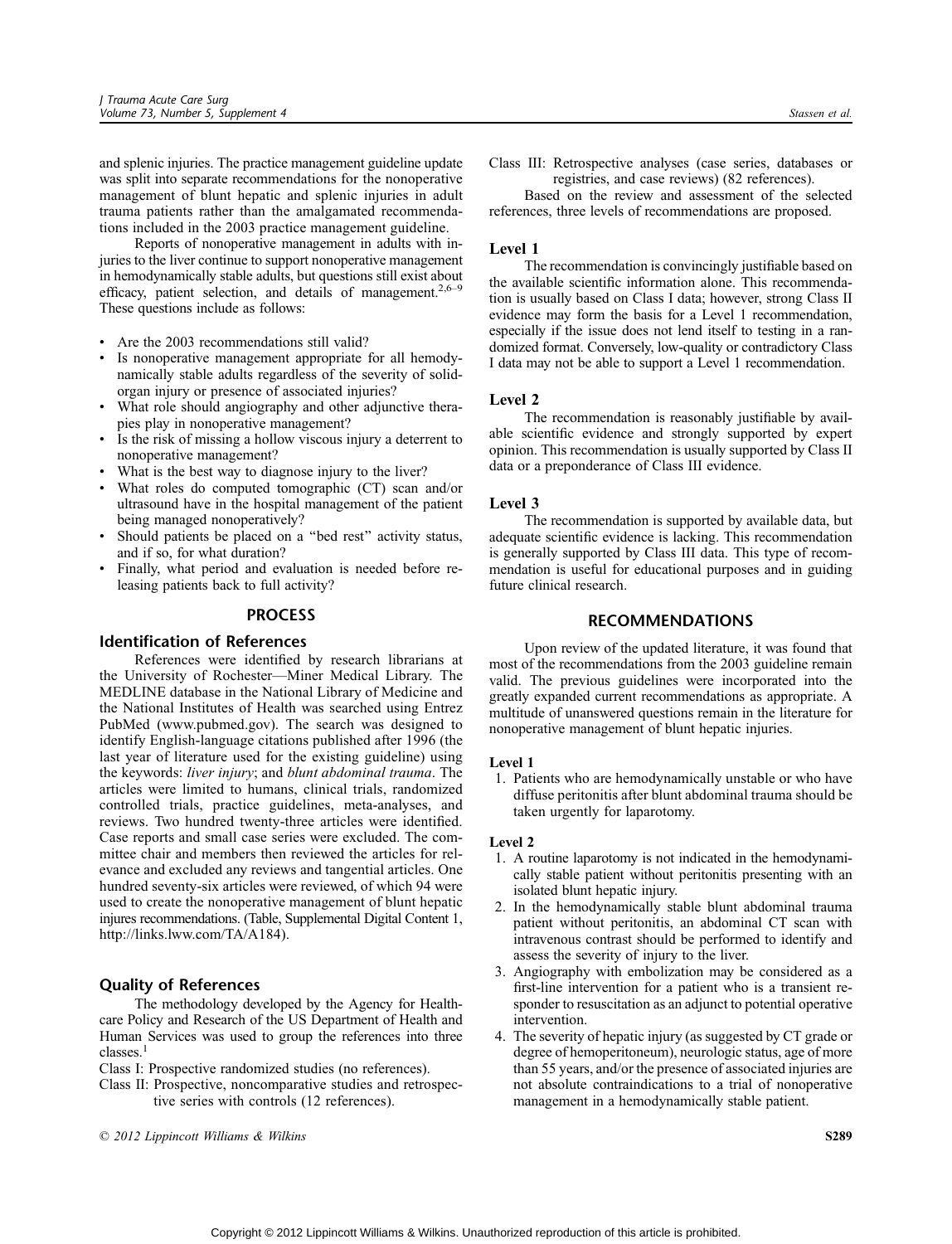and splenic injuries. The practice management guideline update was split into separate recommendations for the nonoperative management of blunt hepatic and splenic injuries in adult trauma patients rather than the amalgamated recommendations included in the 2003 practice management guideline.

Reports of nonoperative management in adults with injuries to the liver continue to support nonoperative management in hemodynamically stable adults, but questions still exist about efficacy, patient selection, and details of management.<sup>2,6-9</sup> These questions include as follows:

- Are the 2003 recommendations still valid?
- Is nonoperative management appropriate for all hemodynamically stable adults regardless of the severity of solidorgan injury or presence of associated injuries?
- What role should angiography and other adjunctive therapies play in nonoperative management?
- Is the risk of missing a hollow viscous injury a deterrent to nonoperative management?
- What is the best way to diagnose injury to the liver?
- & What roles do computed tomographic (CT) scan and/or ultrasound have in the hospital management of the patient being managed nonoperatively?
- Should patients be placed on a "bed rest" activity status, and if so, for what duration?
- Finally, what period and evaluation is needed before releasing patients back to full activity?

#### PROCESS

#### Identification of References

References were identified by research librarians at the University of Rochester-Miner Medical Library. The MEDLINE database in the National Library of Medicine and the National Institutes of Health was searched using Entrez PubMed ([www.pubmed.gov](http://www.pubmed.gov)). The search was designed to identify English-language citations published after 1996 (the last year of literature used for the existing guideline) using the keywords: liver injury; and blunt abdominal trauma. The articles were limited to humans, clinical trials, randomized controlled trials, practice guidelines, meta-analyses, and reviews. Two hundred twenty-three articles were identified. Case reports and small case series were excluded. The committee chair and members then reviewed the articles for relevance and excluded any reviews and tangential articles. One hundred seventy-six articles were reviewed, of which 94 were used to create the nonoperative management of blunt hepatic injures recommendations. (Table, Supplemental Digital Content 1, http://links.lww.com/TA/A184).

#### Quality of References

The methodology developed by the Agency for Healthcare Policy and Research of the US Department of Health and Human Services was used to group the references into three classes.<sup>1</sup>

Class I: Prospective randomized studies (no references).

Class II: Prospective, noncomparative studies and retrospective series with controls (12 references).

Class III: Retrospective analyses (case series, databases or registries, and case reviews) (82 references).

Based on the review and assessment of the selected references, three levels of recommendations are proposed.

### Level 1

The recommendation is convincingly justifiable based on the available scientific information alone. This recommendation is usually based on Class I data; however, strong Class II evidence may form the basis for a Level 1 recommendation, especially if the issue does not lend itself to testing in a randomized format. Conversely, low-quality or contradictory Class I data may not be able to support a Level 1 recommendation.

#### Level 2

The recommendation is reasonably justifiable by available scientific evidence and strongly supported by expert opinion. This recommendation is usually supported by Class II data or a preponderance of Class III evidence.

### Level 3

The recommendation is supported by available data, but adequate scientific evidence is lacking. This recommendation is generally supported by Class III data. This type of recommendation is useful for educational purposes and in guiding future clinical research.

#### RECOMMENDATIONS

Upon review of the updated literature, it was found that most of the recommendations from the 2003 guideline remain valid. The previous guidelines were incorporated into the greatly expanded current recommendations as appropriate. A multitude of unanswered questions remain in the literature for nonoperative management of blunt hepatic injuries.

#### Level 1

1. Patients who are hemodynamically unstable or who have diffuse peritonitis after blunt abdominal trauma should be taken urgently for laparotomy.

#### Level 2

- 1. A routine laparotomy is not indicated in the hemodynamically stable patient without peritonitis presenting with an isolated blunt hepatic injury.
- 2. In the hemodynamically stable blunt abdominal trauma patient without peritonitis, an abdominal CT scan with intravenous contrast should be performed to identify and assess the severity of injury to the liver.
- 3. Angiography with embolization may be considered as a first-line intervention for a patient who is a transient responder to resuscitation as an adjunct to potential operative intervention.
- 4. The severity of hepatic injury (as suggested by CT grade or degree of hemoperitoneum), neurologic status, age of more than 55 years, and/or the presence of associated injuries are not absolute contraindications to a trial of nonoperative management in a hemodynamically stable patient.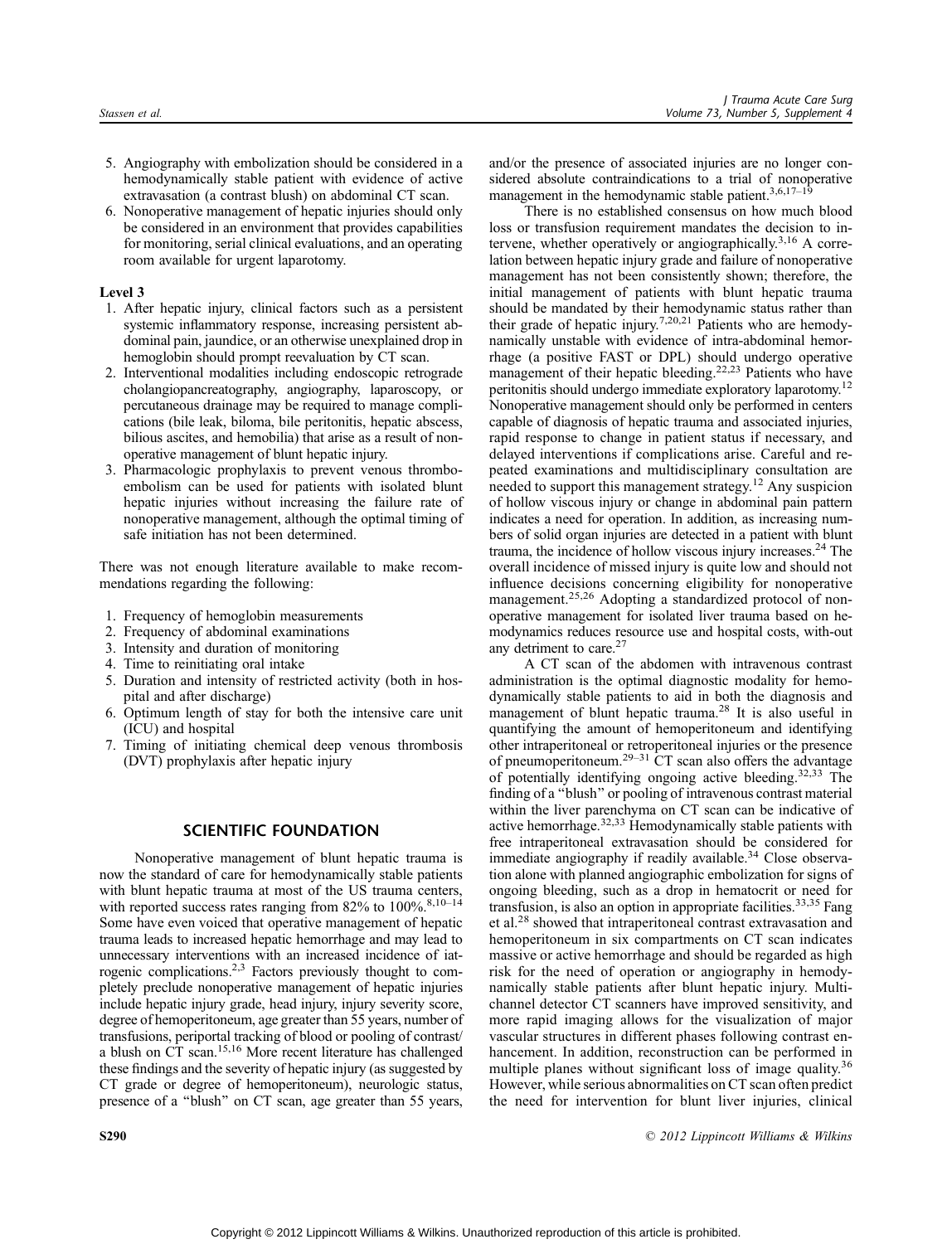- 5. Angiography with embolization should be considered in a hemodynamically stable patient with evidence of active extravasation (a contrast blush) on abdominal CT scan.
- 6. Nonoperative management of hepatic injuries should only be considered in an environment that provides capabilities for monitoring, serial clinical evaluations, and an operating room available for urgent laparotomy.

#### Level 3

- 1. After hepatic injury, clinical factors such as a persistent systemic inflammatory response, increasing persistent abdominal pain, jaundice, or an otherwise unexplained drop in hemoglobin should prompt reevaluation by CT scan.
- 2. Interventional modalities including endoscopic retrograde cholangiopancreatography, angiography, laparoscopy, or percutaneous drainage may be required to manage complications (bile leak, biloma, bile peritonitis, hepatic abscess, bilious ascites, and hemobilia) that arise as a result of nonoperative management of blunt hepatic injury.
- 3. Pharmacologic prophylaxis to prevent venous thromboembolism can be used for patients with isolated blunt hepatic injuries without increasing the failure rate of nonoperative management, although the optimal timing of safe initiation has not been determined.

There was not enough literature available to make recommendations regarding the following:

- 1. Frequency of hemoglobin measurements
- 2. Frequency of abdominal examinations
- 3. Intensity and duration of monitoring
- 4. Time to reinitiating oral intake
- 5. Duration and intensity of restricted activity (both in hospital and after discharge)
- 6. Optimum length of stay for both the intensive care unit (ICU) and hospital
- 7. Timing of initiating chemical deep venous thrombosis (DVT) prophylaxis after hepatic injury

## SCIENTIFIC FOUNDATION

Nonoperative management of blunt hepatic trauma is now the standard of care for hemodynamically stable patients with blunt hepatic trauma at most of the US trauma centers, with reported success rates ranging from  $82\%$  to  $100\%$ .<sup>8,10-14</sup> Some have even voiced that operative management of hepatic trauma leads to increased hepatic hemorrhage and may lead to unnecessary interventions with an increased incidence of iatrogenic complications.2,3 Factors previously thought to completely preclude nonoperative management of hepatic injuries include hepatic injury grade, head injury, injury severity score, degree of hemoperitoneum, age greater than 55 years, number of transfusions, periportal tracking of blood or pooling of contrast/ a blush on CT scan.15,16 More recent literature has challenged these findings and the severity of hepatic injury (as suggested by CT grade or degree of hemoperitoneum), neurologic status, presence of a ''blush'' on CT scan, age greater than 55 years,

and/or the presence of associated injuries are no longer considered absolute contraindications to a trial of nonoperative management in the hemodynamic stable patient.<sup>3,6,17-19</sup>

There is no established consensus on how much blood loss or transfusion requirement mandates the decision to intervene, whether operatively or angiographically.<sup>3,16</sup> A correlation between hepatic injury grade and failure of nonoperative management has not been consistently shown; therefore, the initial management of patients with blunt hepatic trauma should be mandated by their hemodynamic status rather than their grade of hepatic injury.7,20,21 Patients who are hemodynamically unstable with evidence of intra-abdominal hemorrhage (a positive FAST or DPL) should undergo operative management of their hepatic bleeding.<sup>22,23</sup> Patients who have peritonitis should undergo immediate exploratory laparotomy.12 Nonoperative management should only be performed in centers capable of diagnosis of hepatic trauma and associated injuries, rapid response to change in patient status if necessary, and delayed interventions if complications arise. Careful and repeated examinations and multidisciplinary consultation are needed to support this management strategy.<sup>12</sup> Any suspicion of hollow viscous injury or change in abdominal pain pattern indicates a need for operation. In addition, as increasing numbers of solid organ injuries are detected in a patient with blunt trauma, the incidence of hollow viscous injury increases.24 The overall incidence of missed injury is quite low and should not influence decisions concerning eligibility for nonoperative management.25,26 Adopting a standardized protocol of nonoperative management for isolated liver trauma based on hemodynamics reduces resource use and hospital costs, with-out any detriment to care.<sup>27</sup>

A CT scan of the abdomen with intravenous contrast administration is the optimal diagnostic modality for hemodynamically stable patients to aid in both the diagnosis and management of blunt hepatic trauma.<sup>28</sup> It is also useful in quantifying the amount of hemoperitoneum and identifying other intraperitoneal or retroperitoneal injuries or the presence of pneumoperitoneum.<sup>29-31</sup> CT scan also offers the advantage of potentially identifying ongoing active bleeding.32,33 The finding of a ''blush'' or pooling of intravenous contrast material within the liver parenchyma on CT scan can be indicative of active hemorrhage.<sup>32,33</sup> Hemodynamically stable patients with free intraperitoneal extravasation should be considered for immediate angiography if readily available.<sup>34</sup> Close observation alone with planned angiographic embolization for signs of ongoing bleeding, such as a drop in hematocrit or need for transfusion, is also an option in appropriate facilities.<sup>33,35</sup> Fang et al.<sup>28</sup> showed that intraperitoneal contrast extravasation and hemoperitoneum in six compartments on CT scan indicates massive or active hemorrhage and should be regarded as high risk for the need of operation or angiography in hemodynamically stable patients after blunt hepatic injury. Multichannel detector CT scanners have improved sensitivity, and more rapid imaging allows for the visualization of major vascular structures in different phases following contrast enhancement. In addition, reconstruction can be performed in multiple planes without significant loss of image quality.<sup>36</sup> However, while serious abnormalities on CT scan often predict the need for intervention for blunt liver injuries, clinical

S290 **S290 2012** Lippincott Williams & Wilkins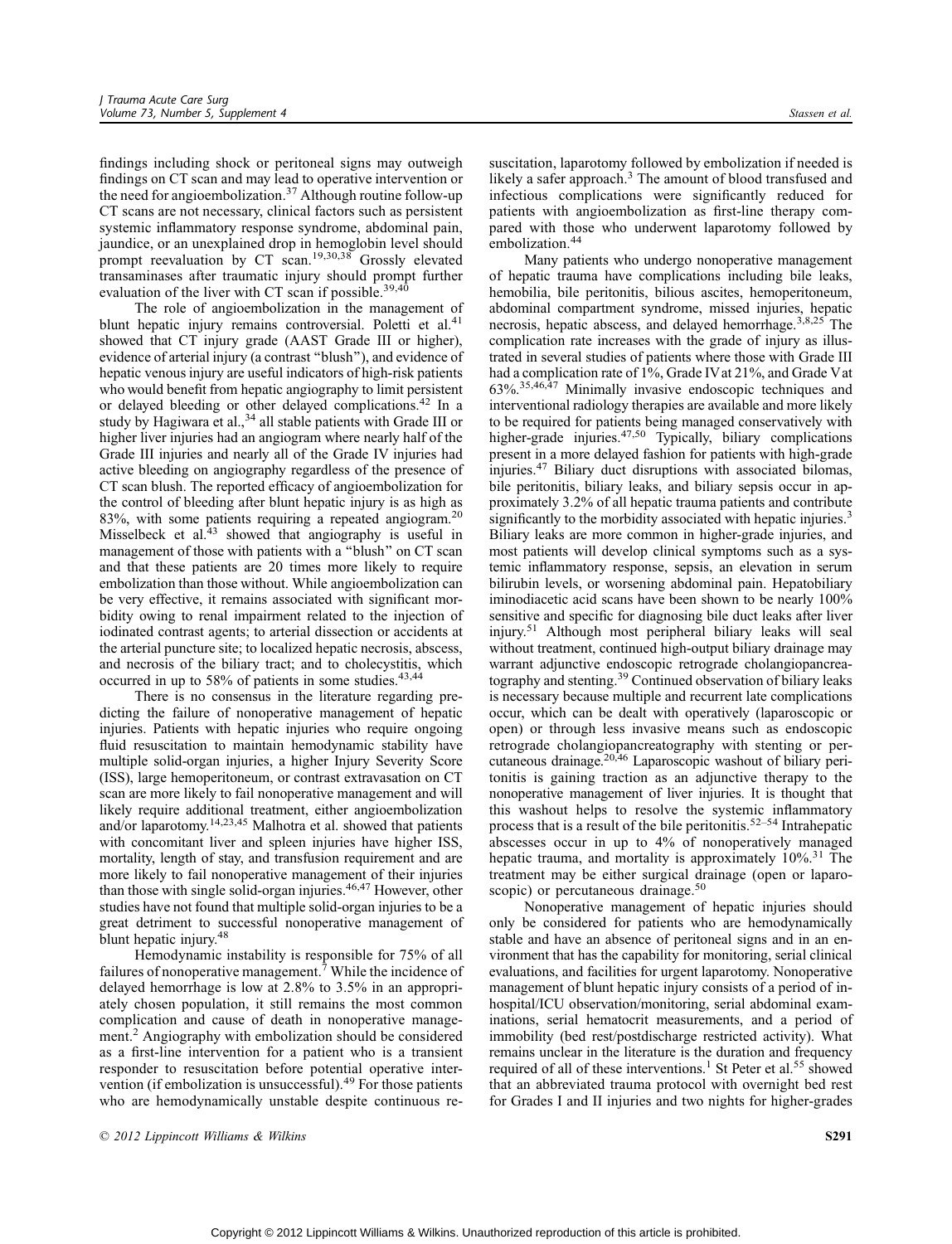findings including shock or peritoneal signs may outweigh findings on CT scan and may lead to operative intervention or the need for angioembolization.<sup>37</sup> Although routine follow-up CT scans are not necessary, clinical factors such as persistent systemic inflammatory response syndrome, abdominal pain, jaundice, or an unexplained drop in hemoglobin level should prompt reevaluation by CT scan.<sup>19,30,38</sup> Grossly elevated transaminases after traumatic injury should prompt further evaluation of the liver with CT scan if possible.<sup>39,40</sup>

The role of angioembolization in the management of blunt hepatic injury remains controversial. Poletti et al.<sup>41</sup> showed that CT injury grade (AAST Grade III or higher), evidence of arterial injury (a contrast ''blush''), and evidence of hepatic venous injury are useful indicators of high-risk patients who would benefit from hepatic angiography to limit persistent or delayed bleeding or other delayed complications.<sup>42</sup> In a study by Hagiwara et al.,<sup>34</sup> all stable patients with Grade III or higher liver injuries had an angiogram where nearly half of the Grade III injuries and nearly all of the Grade IV injuries had active bleeding on angiography regardless of the presence of CT scan blush. The reported efficacy of angioembolization for the control of bleeding after blunt hepatic injury is as high as 83%, with some patients requiring a repeated angiogram.<sup>20</sup> Misselbeck et al.<sup>43</sup> showed that angiography is useful in management of those with patients with a ''blush'' on CT scan and that these patients are 20 times more likely to require embolization than those without. While angioembolization can be very effective, it remains associated with significant morbidity owing to renal impairment related to the injection of iodinated contrast agents; to arterial dissection or accidents at the arterial puncture site; to localized hepatic necrosis, abscess, and necrosis of the biliary tract; and to cholecystitis, which occurred in up to 58% of patients in some studies. $43,44$ 

There is no consensus in the literature regarding predicting the failure of nonoperative management of hepatic injuries. Patients with hepatic injuries who require ongoing fluid resuscitation to maintain hemodynamic stability have multiple solid-organ injuries, a higher Injury Severity Score (ISS), large hemoperitoneum, or contrast extravasation on CT scan are more likely to fail nonoperative management and will likely require additional treatment, either angioembolization and/or laparotomy.14,23,45 Malhotra et al. showed that patients with concomitant liver and spleen injuries have higher ISS, mortality, length of stay, and transfusion requirement and are more likely to fail nonoperative management of their injuries than those with single solid-organ injuries.46,47 However, other studies have not found that multiple solid-organ injuries to be a great detriment to successful nonoperative management of blunt hepatic injury.<sup>48</sup>

Hemodynamic instability is responsible for 75% of all failures of nonoperative management.<sup>7</sup> While the incidence of delayed hemorrhage is low at 2.8% to 3.5% in an appropriately chosen population, it still remains the most common complication and cause of death in nonoperative management.<sup>2</sup> Angiography with embolization should be considered as a first-line intervention for a patient who is a transient responder to resuscitation before potential operative intervention (if embolization is unsuccessful).<sup>49</sup> For those patients who are hemodynamically unstable despite continuous resuscitation, laparotomy followed by embolization if needed is likely a safer approach.<sup>3</sup> The amount of blood transfused and infectious complications were significantly reduced for patients with angioembolization as first-line therapy compared with those who underwent laparotomy followed by embolization.<sup>44</sup>

Many patients who undergo nonoperative management of hepatic trauma have complications including bile leaks, hemobilia, bile peritonitis, bilious ascites, hemoperitoneum, abdominal compartment syndrome, missed injuries, hepatic necrosis, hepatic abscess, and delayed hemorrhage.3,8,25 The complication rate increases with the grade of injury as illustrated in several studies of patients where those with Grade III had a complication rate of 1%, Grade IV at 21%, and Grade V at 63%.35,46,47 Minimally invasive endoscopic techniques and interventional radiology therapies are available and more likely to be required for patients being managed conservatively with higher-grade injuries.<sup>47,50</sup> Typically, biliary complications present in a more delayed fashion for patients with high-grade injuries.<sup>47</sup> Biliary duct disruptions with associated bilomas, bile peritonitis, biliary leaks, and biliary sepsis occur in approximately 3.2% of all hepatic trauma patients and contribute significantly to the morbidity associated with hepatic injuries.<sup>3</sup> Biliary leaks are more common in higher-grade injuries, and most patients will develop clinical symptoms such as a systemic inflammatory response, sepsis, an elevation in serum bilirubin levels, or worsening abdominal pain. Hepatobiliary iminodiacetic acid scans have been shown to be nearly 100% sensitive and specific for diagnosing bile duct leaks after liver injury.<sup>51</sup> Although most peripheral biliary leaks will seal without treatment, continued high-output biliary drainage may warrant adjunctive endoscopic retrograde cholangiopancreatography and stenting.<sup>39</sup> Continued observation of biliary leaks is necessary because multiple and recurrent late complications occur, which can be dealt with operatively (laparoscopic or open) or through less invasive means such as endoscopic retrograde cholangiopancreatography with stenting or percutaneous drainage.<sup>20,46</sup> Laparoscopic washout of biliary peritonitis is gaining traction as an adjunctive therapy to the nonoperative management of liver injuries. It is thought that this washout helps to resolve the systemic inflammatory process that is a result of the bile peritonitis.<sup>52-54</sup> Intrahepatic abscesses occur in up to 4% of nonoperatively managed hepatic trauma, and mortality is approximately  $10\%$ .<sup>31</sup> The treatment may be either surgical drainage (open or laparoscopic) or percutaneous drainage.<sup>50</sup>

Nonoperative management of hepatic injuries should only be considered for patients who are hemodynamically stable and have an absence of peritoneal signs and in an environment that has the capability for monitoring, serial clinical evaluations, and facilities for urgent laparotomy. Nonoperative management of blunt hepatic injury consists of a period of inhospital/ICU observation/monitoring, serial abdominal examinations, serial hematocrit measurements, and a period of immobility (bed rest/postdischarge restricted activity). What remains unclear in the literature is the duration and frequency required of all of these interventions.<sup>1</sup> St Peter et al.<sup>55</sup> showed that an abbreviated trauma protocol with overnight bed rest for Grades I and II injuries and two nights for higher-grades

 $\odot$  2012 Lippincott Williams & Wilkins  $\ddot{\phantom{2}}$  S291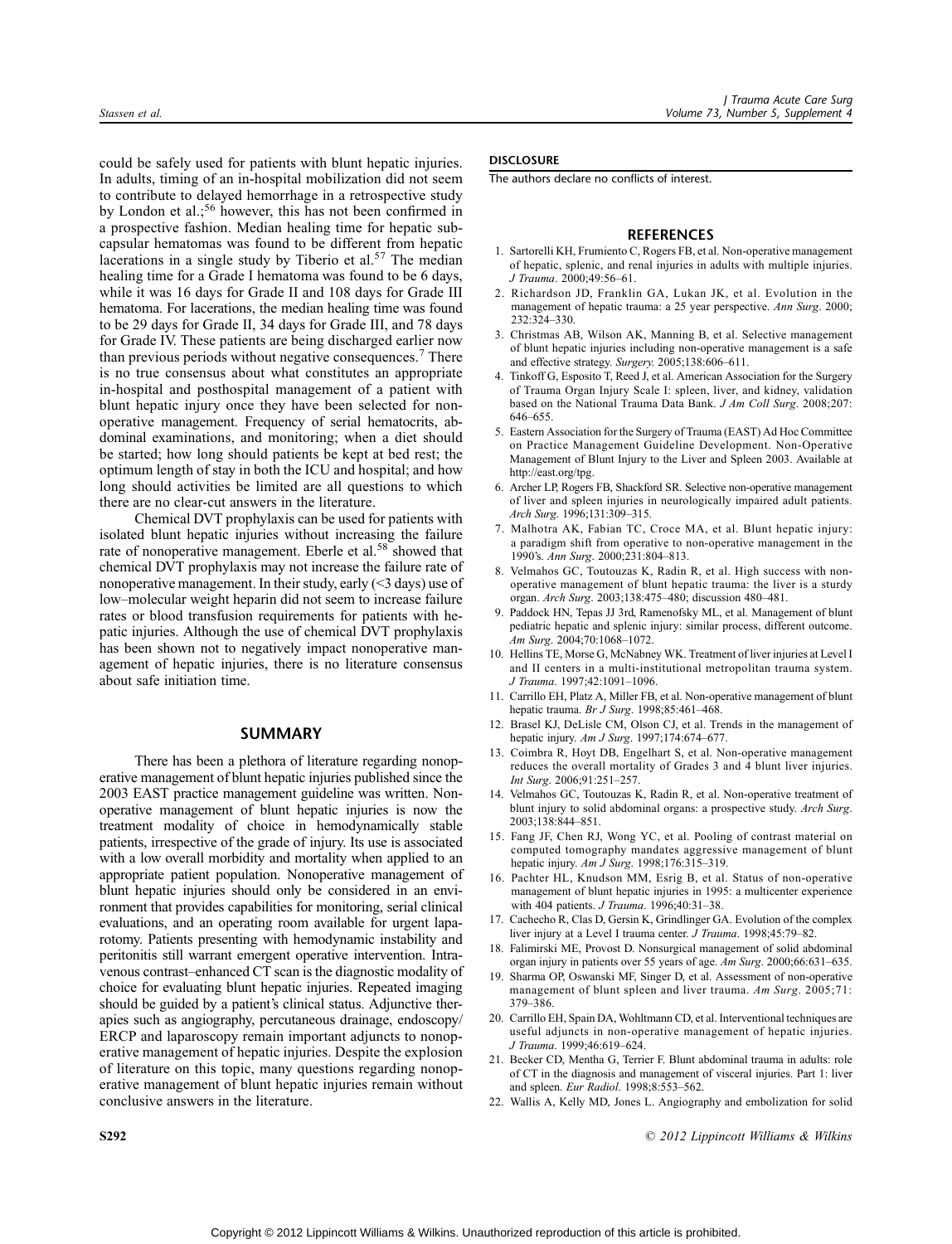could be safely used for patients with blunt hepatic injuries. In adults, timing of an in-hospital mobilization did not seem to contribute to delayed hemorrhage in a retrospective study by London et al.;<sup>56</sup> however, this has not been confirmed in a prospective fashion. Median healing time for hepatic subcapsular hematomas was found to be different from hepatic lacerations in a single study by Tiberio et al.<sup>57</sup> The median healing time for a Grade I hematoma was found to be 6 days, while it was 16 days for Grade II and 108 days for Grade III hematoma. For lacerations, the median healing time was found to be 29 days for Grade II, 34 days for Grade III, and 78 days for Grade IV. These patients are being discharged earlier now than previous periods without negative consequences.<sup>7</sup> There is no true consensus about what constitutes an appropriate in-hospital and posthospital management of a patient with blunt hepatic injury once they have been selected for nonoperative management. Frequency of serial hematocrits, abdominal examinations, and monitoring; when a diet should be started; how long should patients be kept at bed rest; the optimum length of stay in both the ICU and hospital; and how long should activities be limited are all questions to which there are no clear-cut answers in the literature.

Chemical DVT prophylaxis can be used for patients with isolated blunt hepatic injuries without increasing the failure rate of nonoperative management. Eberle et al.<sup>58</sup> showed that chemical DVT prophylaxis may not increase the failure rate of nonoperative management. In their study, early  $(<$ 3 days) use of low–molecular weight heparin did not seem to increase failure rates or blood transfusion requirements for patients with hepatic injuries. Although the use of chemical DVT prophylaxis has been shown not to negatively impact nonoperative management of hepatic injuries, there is no literature consensus about safe initiation time.

### SUMMARY

There has been a plethora of literature regarding nonoperative management of blunt hepatic injuries published since the 2003 EAST practice management guideline was written. Nonoperative management of blunt hepatic injuries is now the treatment modality of choice in hemodynamically stable patients, irrespective of the grade of injury. Its use is associated with a low overall morbidity and mortality when applied to an appropriate patient population. Nonoperative management of blunt hepatic injuries should only be considered in an environment that provides capabilities for monitoring, serial clinical evaluations, and an operating room available for urgent laparotomy. Patients presenting with hemodynamic instability and peritonitis still warrant emergent operative intervention. Intravenous contrast-enhanced CT scan is the diagnostic modality of choice for evaluating blunt hepatic injuries. Repeated imaging should be guided by a patient's clinical status. Adjunctive therapies such as angiography, percutaneous drainage, endoscopy/ ERCP and laparoscopy remain important adjuncts to nonoperative management of hepatic injuries. Despite the explosion of literature on this topic, many questions regarding nonoperative management of blunt hepatic injuries remain without conclusive answers in the literature.

#### DISCLOSURE

The authors declare no conflicts of interest.

#### **REFERENCES**

- 1. Sartorelli KH, Frumiento C, Rogers FB, et al. Non-operative management of hepatic, splenic, and renal injuries in adults with multiple injuries. J Trauma. 2000:49:56-61.
- 2. Richardson JD, Franklin GA, Lukan JK, et al. Evolution in the management of hepatic trauma: a 25 year perspective. Ann Surg. 2000; 232:324-330.
- 3. Christmas AB, Wilson AK, Manning B, et al. Selective management of blunt hepatic injuries including non-operative management is a safe and effective strategy. Surgery. 2005;138:606-611.
- 4. Tinkoff G, Esposito T, Reed J, et al. American Association for the Surgery of Trauma Organ Injury Scale I: spleen, liver, and kidney, validation based on the National Trauma Data Bank. J Am Coll Surg. 2008;207: 646-655.
- 5. Eastern Association for the Surgery of Trauma (EAST) Ad Hoc Committee on Practice Management Guideline Development. Non-Operative Management of Blunt Injury to the Liver and Spleen 2003. Available at <http://east.org/tpg>.
- 6. Archer LP, Rogers FB, Shackford SR. Selective non-operative management of liver and spleen injuries in neurologically impaired adult patients. Arch Surg. 1996;131:309-315.
- 7. Malhotra AK, Fabian TC, Croce MA, et al. Blunt hepatic injury: a paradigm shift from operative to non-operative management in the 1990's. Ann Surg. 2000;231:804-813.
- 8. Velmahos GC, Toutouzas K, Radin R, et al. High success with nonoperative management of blunt hepatic trauma: the liver is a sturdy organ. Arch Surg. 2003;138:475-480; discussion 480-481.
- 9. Paddock HN, Tepas JJ 3rd, Ramenofsky ML, et al. Management of blunt pediatric hepatic and splenic injury: similar process, different outcome. Am Surg. 2004;70:1068-1072.
- 10. Hellins TE, Morse G, McNabney WK. Treatment of liver injuries at Level I and II centers in a multi-institutional metropolitan trauma system. J Trauma. 1997;42:1091-1096.
- 11. Carrillo EH, Platz A, Miller FB, et al. Non-operative management of blunt hepatic trauma. Br J Surg. 1998;85:461-468.
- 12. Brasel KJ, DeLisle CM, Olson CJ, et al. Trends in the management of hepatic injury. Am J Surg. 1997;174:674-677.
- 13. Coimbra R, Hoyt DB, Engelhart S, et al. Non-operative management reduces the overall mortality of Grades 3 and 4 blunt liver injuries. Int Surg. 2006;91:251-257.
- 14. Velmahos GC, Toutouzas K, Radin R, et al. Non-operative treatment of blunt injury to solid abdominal organs: a prospective study. Arch Surg. 2003:138:844-851.
- 15. Fang JF, Chen RJ, Wong YC, et al. Pooling of contrast material on computed tomography mandates aggressive management of blunt hepatic injury. Am J Surg. 1998;176:315-319.
- 16. Pachter HL, Knudson MM, Esrig B, et al. Status of non-operative management of blunt hepatic injuries in 1995: a multicenter experience with 404 patients. J Trauma.  $1996;40:31-38$ .
- 17. Cachecho R, Clas D, Gersin K, Grindlinger GA. Evolution of the complex liver injury at a Level I trauma center. *J Trauma*. 1998;45:79-82.
- 18. Falimirski ME, Provost D. Nonsurgical management of solid abdominal organ injury in patients over 55 years of age. Am Surg. 2000;66:631-635.
- 19. Sharma OP, Oswanski MF, Singer D, et al. Assessment of non-operative management of blunt spleen and liver trauma. Am Surg. 2005;71: 379-386.
- 20. Carrillo EH, Spain DA, Wohltmann CD, et al. Interventional techniques are useful adjuncts in non-operative management of hepatic injuries. J Trauma. 1999;46:619-624.
- 21. Becker CD, Mentha G, Terrier F. Blunt abdominal trauma in adults: role of CT in the diagnosis and management of visceral injuries. Part 1: liver and spleen. Eur Radiol. 1998;8:553-562.
- 22. Wallis A, Kelly MD, Jones L. Angiography and embolization for solid

S292 **2012** Lippincott Williams & Wilkins